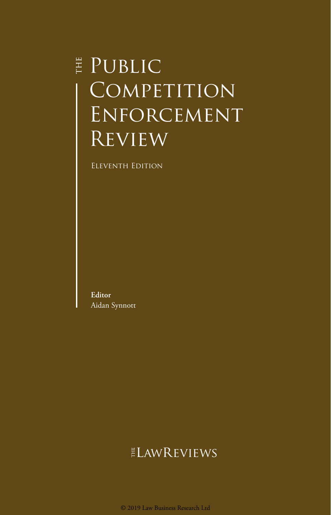# **E** PUBLIC COMPETITION Enforcement **REVIEW**

Eleventh Edition

**Editor** Aidan Synnott

## **ELAWREVIEWS**

© 2019 Law Business Research Ltd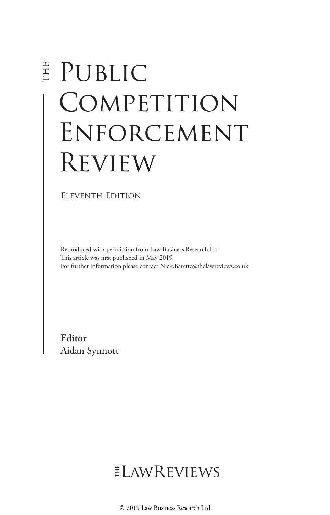# E PUBLIC COMPETITION Enforcement Review

Eleventh Edition

Reproduced with permission from Law Business Research Ltd This article was first published in May 2019 For further information please contact Nick.Barette@thelawreviews.co.uk

**Editor** Aidan Synnott

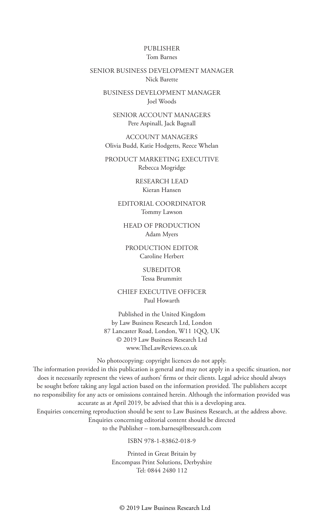#### PUBLISHER Tom Barnes

#### SENIOR BUSINESS DEVELOPMENT MANAGER Nick Barette

BUSINESS DEVELOPMENT MANAGER Joel Woods

SENIOR ACCOUNT MANAGERS Pere Aspinall, Jack Bagnall

ACCOUNT MANAGERS Olivia Budd, Katie Hodgetts, Reece Whelan

PRODUCT MARKETING EXECUTIVE Rebecca Mogridge

> RESEARCH LEAD Kieran Hansen

EDITORIAL COORDINATOR Tommy Lawson

HEAD OF PRODUCTION Adam Myers

PRODUCTION EDITOR Caroline Herbert

> SUBEDITOR Tessa Brummitt

CHIEF EXECUTIVE OFFICER Paul Howarth

Published in the United Kingdom by Law Business Research Ltd, London 87 Lancaster Road, London, W11 1QQ, UK © 2019 Law Business Research Ltd www.TheLawReviews.co.uk

No photocopying: copyright licences do not apply.

The information provided in this publication is general and may not apply in a specific situation, nor does it necessarily represent the views of authors' firms or their clients. Legal advice should always be sought before taking any legal action based on the information provided. The publishers accept no responsibility for any acts or omissions contained herein. Although the information provided was accurate as at April 2019, be advised that this is a developing area. Enquiries concerning reproduction should be sent to Law Business Research, at the address above. Enquiries concerning editorial content should be directed

to the Publisher – tom.barnes@lbresearch.com

ISBN 978-1-83862-018-9

Printed in Great Britain by Encompass Print Solutions, Derbyshire Tel: 0844 2480 112

© 2019 Law Business Research Ltd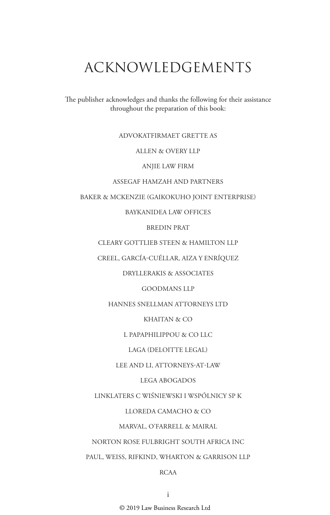# ACKNOWLEDGEMENTS

The publisher acknowledges and thanks the following for their assistance throughout the preparation of this book:

#### ADVOKATFIRMAET GRETTE AS

#### ALLEN & OVERY LLP

ANJIE LAW FIRM

#### ASSEGAF HAMZAH AND PARTNERS

BAKER & MCKENZIE (GAIKOKUHO JOINT ENTERPRISE)

BAYKANIDEA LAW OFFICES

BREDIN PRAT

CLEARY GOTTLIEB STEEN & HAMILTON LLP

CREEL, GARCÍA-CUÉLLAR, AIZA Y ENRÍQUEZ

DRYLLERAKIS & ASSOCIATES

GOODMANS LLP

HANNES SNELLMAN ATTORNEYS LTD

KHAITAN & CO

L PAPAPHILIPPOU & CO LLC

LAGA (DELOITTE LEGAL)

LEE AND LI, ATTORNEYS-AT-LAW

LEGA ABOGADOS

LINKLATERS C WIŚNIEWSKI I WSPÓLNICY SP K

LLOREDA CAMACHO & CO

MARVAL, O'FARRELL & MAIRAL

NORTON ROSE FULBRIGHT SOUTH AFRICA INC

PAUL, WEISS, RIFKIND, WHARTON & GARRISON LLP

#### RCAA

© 2019 Law Business Research Ltd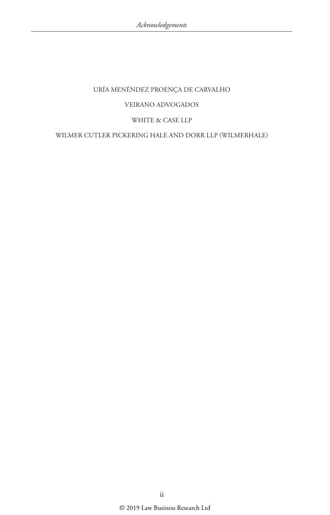#### URÍA MENÉNDEZ PROENÇA DE CARVALHO

#### VEIRANO ADVOGADOS

#### WHITE & CASE LLP

#### WILMER CUTLER PICKERING HALE AND DORR LLP (WILMERHALE)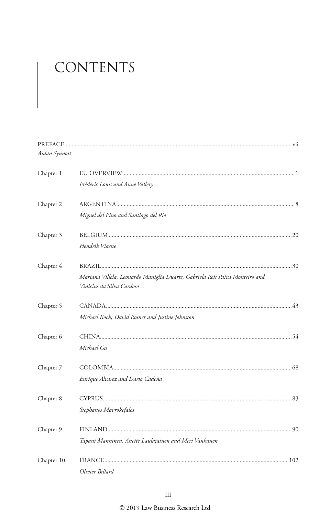# CONTENTS

| Aidan Synnott |                                                                                                          |
|---------------|----------------------------------------------------------------------------------------------------------|
| Chapter 1     |                                                                                                          |
|               | Frédéric Louis and Anne Vallery                                                                          |
| Chapter 2     |                                                                                                          |
|               | Miguel del Pino and Santiago del Rio                                                                     |
| Chapter 3     |                                                                                                          |
|               | Hendrik Viaene                                                                                           |
| Chapter 4     |                                                                                                          |
|               | Mariana Villela, Leonardo Maniglia Duarte, Gabriela Reis Paiva Monteiro and<br>Vinicius da Silva Cardoso |
| Chapter 5     |                                                                                                          |
|               | Michael Koch, David Rosner and Justine Johnston                                                          |
| Chapter 6     |                                                                                                          |
|               | Michael Gu                                                                                               |
| Chapter 7     |                                                                                                          |
|               | Enrique Alvarez and Darío Cadena                                                                         |
| Chapter 8     |                                                                                                          |
|               | Stephanos Mavrokefalos                                                                                   |
| Chapter 9     |                                                                                                          |
|               | Tapani Manninen, Anette Laulajainen and Meri Vanhanen                                                    |
| Chapter 10    |                                                                                                          |
|               | Olivier Billard                                                                                          |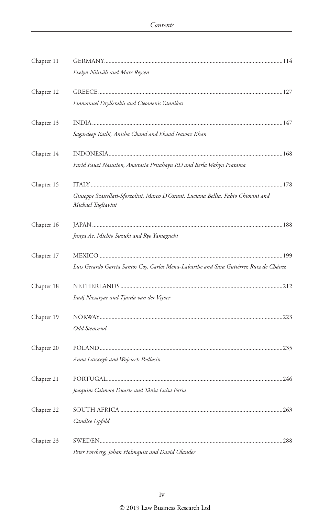| Chapter 11 |                                                                                                           |  |
|------------|-----------------------------------------------------------------------------------------------------------|--|
|            | Evelyn Niitväli and Marc Reysen                                                                           |  |
| Chapter 12 |                                                                                                           |  |
|            | Emmanuel Dryllerakis and Cleomenis Yannikas                                                               |  |
| Chapter 13 |                                                                                                           |  |
|            | Sagardeep Rathi, Anisha Chand and Ebaad Nawaz Khan                                                        |  |
| Chapter 14 |                                                                                                           |  |
|            | Farid Fauzi Nasution, Anastasia Pritahayu RD and Berla Wahyu Pratama                                      |  |
| Chapter 15 |                                                                                                           |  |
|            | Giuseppe Scassellati-Sforzolini, Marco D'Ostuni, Luciana Bellia, Fabio Chiovini and<br>Michael Tagliavini |  |
| Chapter 16 |                                                                                                           |  |
|            | Junya Ae, Michio Suzuki and Ryo Yamaguchi                                                                 |  |
| Chapter 17 |                                                                                                           |  |
|            | Luis Gerardo García Santos Coy, Carlos Mena-Labarthe and Sara Gutiérrez Ruiz de Chávez                    |  |
| Chapter 18 |                                                                                                           |  |
|            | Iradj Nazaryar and Tjarda van der Vijver                                                                  |  |
| Chapter 19 |                                                                                                           |  |
|            | Odd Stemsrud                                                                                              |  |
| Chapter 20 |                                                                                                           |  |
|            | Anna Laszczyk and Wojciech Podlasin                                                                       |  |
| Chapter 21 |                                                                                                           |  |
|            | Joaquim Caimoto Duarte and Tânia Luísa Faria                                                              |  |
| Chapter 22 |                                                                                                           |  |
|            | Candice Upfold                                                                                            |  |
| Chapter 23 |                                                                                                           |  |
|            | Peter Forsberg, Johan Holmquist and David Olander                                                         |  |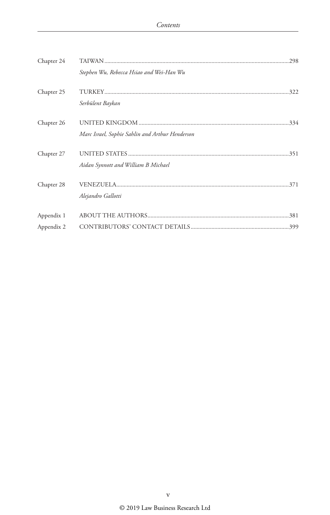| Chapter 24               |                                                 |
|--------------------------|-------------------------------------------------|
|                          | Stephen Wu, Rebecca Hsiao and Wei-Han Wu        |
| Chapter 25               | Serbülent Baykan                                |
| Chapter 26               | Marc Israel, Sophie Sahlin and Arthur Henderson |
| Chapter 27               | Aidan Synnott and William B Michael             |
| Chapter 28               | Alejandro Gallotti                              |
| Appendix 1<br>Appendix 2 |                                                 |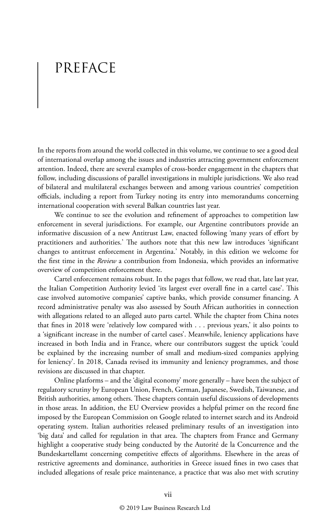# PREFACE

In the reports from around the world collected in this volume, we continue to see a good deal of international overlap among the issues and industries attracting government enforcement attention. Indeed, there are several examples of cross-border engagement in the chapters that follow, including discussions of parallel investigations in multiple jurisdictions. We also read of bilateral and multilateral exchanges between and among various countries' competition officials, including a report from Turkey noting its entry into memorandums concerning international cooperation with several Balkan countries last year.

We continue to see the evolution and refinement of approaches to competition law enforcement in several jurisdictions. For example, our Argentine contributors provide an informative discussion of a new Antitrust Law, enacted following 'many years of effort by practitioners and authorities.' The authors note that this new law introduces 'significant changes to antitrust enforcement in Argentina.' Notably, in this edition we welcome for the first time in the *Review* a contribution from Indonesia, which provides an informative overview of competition enforcement there.

Cartel enforcement remains robust. In the pages that follow, we read that, late last year, the Italian Competition Authority levied 'its largest ever overall fine in a cartel case'. This case involved automotive companies' captive banks, which provide consumer financing. A record administrative penalty was also assessed by South African authorities in connection with allegations related to an alleged auto parts cartel. While the chapter from China notes that fines in 2018 were 'relatively low compared with . . . previous years,' it also points to a 'significant increase in the number of cartel cases'. Meanwhile, leniency applications have increased in both India and in France, where our contributors suggest the uptick 'could be explained by the increasing number of small and medium-sized companies applying for leniency'. In 2018, Canada revised its immunity and leniency programmes, and those revisions are discussed in that chapter.

Online platforms – and the 'digital economy' more generally – have been the subject of regulatory scrutiny by European Union, French, German, Japanese, Swedish, Taiwanese, and British authorities, among others. These chapters contain useful discussions of developments in those areas. In addition, the EU Overview provides a helpful primer on the record fine imposed by the European Commission on Google related to internet search and its Android operating system. Italian authorities released preliminary results of an investigation into 'big data' and called for regulation in that area. The chapters from France and Germany highlight a cooperative study being conducted by the Autorité de la Concurrence and the Bundeskartellamt concerning competitive effects of algorithms. Elsewhere in the areas of restrictive agreements and dominance, authorities in Greece issued fines in two cases that included allegations of resale price maintenance, a practice that was also met with scrutiny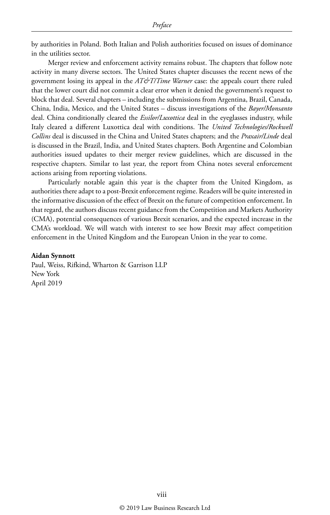by authorities in Poland. Both Italian and Polish authorities focused on issues of dominance in the utilities sector.

Merger review and enforcement activity remains robust. The chapters that follow note activity in many diverse sectors. The United States chapter discusses the recent news of the government losing its appeal in the *AT&T/Time Warner* case: the appeals court there ruled that the lower court did not commit a clear error when it denied the government's request to block that deal. Several chapters – including the submissions from Argentina, Brazil, Canada, China, India, Mexico, and the United States – discuss investigations of the *Bayer/Monsanto*  deal. China conditionally cleared the *Essilor/Luxottica* deal in the eyeglasses industry, while Italy cleared a different Luxottica deal with conditions. The *United Technologies/Rockwell Collins* deal is discussed in the China and United States chapters; and the *Praxair/Linde* deal is discussed in the Brazil, India, and United States chapters. Both Argentine and Colombian authorities issued updates to their merger review guidelines, which are discussed in the respective chapters. Similar to last year, the report from China notes several enforcement actions arising from reporting violations.

Particularly notable again this year is the chapter from the United Kingdom, as authorities there adapt to a post-Brexit enforcement regime. Readers will be quite interested in the informative discussion of the effect of Brexit on the future of competition enforcement. In that regard, the authors discuss recent guidance from the Competition and Markets Authority (CMA), potential consequences of various Brexit scenarios, and the expected increase in the CMA's workload. We will watch with interest to see how Brexit may affect competition enforcement in the United Kingdom and the European Union in the year to come.

#### **Aidan Synnott**

Paul, Weiss, Rifkind, Wharton & Garrison LLP New York April 2019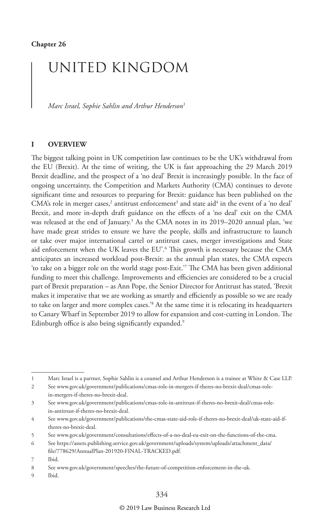## UNITED KINGDOM

*Marc Israel, Sophie Sahlin and Arthur Henderson*<sup>1</sup>

#### **I OVERVIEW**

The biggest talking point in UK competition law continues to be the UK's withdrawal from the EU (Brexit). At the time of writing, the UK is fast approaching the 29 March 2019 Brexit deadline, and the prospect of a 'no deal' Brexit is increasingly possible. In the face of ongoing uncertainty, the Competition and Markets Authority (CMA) continues to devote significant time and resources to preparing for Brexit: guidance has been published on the CMA's role in merger cases,<sup>2</sup> antitrust enforcement<sup>3</sup> and state aid<sup>4</sup> in the event of a 'no deal' Brexit, and more in-depth draft guidance on the effects of a 'no deal' exit on the CMA was released at the end of January.5 As the CMA notes in its 2019–2020 annual plan, 'we have made great strides to ensure we have the people, skills and infrastructure to launch or take over major international cartel or antitrust cases, merger investigations and State aid enforcement when the UK leaves the EU'.6 This growth is necessary because the CMA anticipates an increased workload post-Brexit: as the annual plan states, the CMA expects 'to take on a bigger role on the world stage post-Exit.'7 The CMA has been given additional funding to meet this challenge. Improvements and efficiencies are considered to be a crucial part of Brexit preparation – as Ann Pope, the Senior Director for Antitrust has stated, 'Brexit makes it imperative that we are working as smartly and efficiently as possible so we are ready to take on larger and more complex cases.'8 At the same time it is relocating its headquarters to Canary Wharf in September 2019 to allow for expansion and cost-cutting in London. The Edinburgh office is also being significantly expanded.<sup>9</sup>

<sup>1</sup> Marc Israel is a partner, Sophie Sahlin is a counsel and Arthur Henderson is a trainee at White & Case LLP.

<sup>2</sup> See www.gov.uk/government/publications/cmas-role-in-mergers-if-theres-no-brexit-deal/cmas-rolein-mergers-if-theres-no-brexit-deal.

<sup>3</sup> See www.gov.uk/government/publications/cmas-role-in-antitrust-if-theres-no-brexit-deal/cmas-rolein-antitrust-if-theres-no-brexit-deal.

<sup>4</sup> See www.gov.uk/government/publications/the-cmas-state-aid-role-if-theres-no-brexit-deal/uk-state-aid-iftheres-no-brexit-deal.

<sup>5</sup> See www.gov.uk/government/consultations/effects-of-a-no-deal-eu-exit-on-the-functions-of-the-cma.

<sup>6</sup> See https://assets.publishing.service.gov.uk/government/uploads/system/uploads/attachment\_data/

file/778629/AnnualPlan-201920-FINAL-TRACKED.pdf.

<sup>7</sup> Ibid.

<sup>8</sup> See www.gov.uk/government/speeches/the-future-of-competition-enforcement-in-the-uk.

<sup>9</sup> Ibid.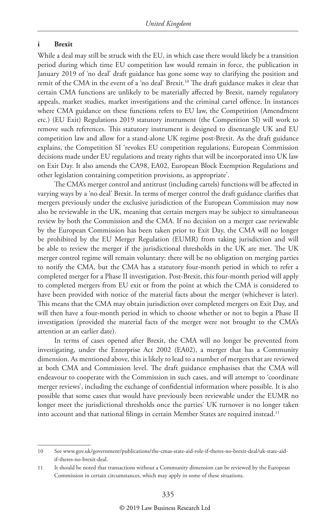#### **i Brexit**

While a deal may still be struck with the EU, in which case there would likely be a transition period during which time EU competition law would remain in force, the publication in January 2019 of 'no deal' draft guidance has gone some way to clarifying the position and remit of the CMA in the event of a 'no deal' Brexit.<sup>10</sup> The draft guidance makes it clear that certain CMA functions are unlikely to be materially affected by Brexit, namely regulatory appeals, market studies, market investigations and the criminal cartel offence. In instances where CMA guidance on these functions refers to EU law, the Competition (Amendment etc.) (EU Exit) Regulations 2019 statutory instrument (the Competition SI) will work to remove such references. This statutory instrument is designed to disentangle UK and EU competition law and allow for a stand-alone UK regime post-Brexit. As the draft guidance explains, the Competition SI 'revokes EU competition regulations, European Commission decisions made under EU regulations and treaty rights that will be incorporated into UK law on Exit Day. It also amends the CA98, EA02, European Block Exemption Regulations and other legislation containing competition provisions, as appropriate'.

The CMA's merger control and antitrust (including cartels) functions will be affected in varying ways by a 'no deal' Brexit. In terms of merger control the draft guidance clarifies that mergers previously under the exclusive jurisdiction of the European Commission may now also be reviewable in the UK, meaning that certain mergers may be subject to simultaneous review by both the Commission and the CMA. If no decision on a merger case reviewable by the European Commission has been taken prior to Exit Day, the CMA will no longer be prohibited by the EU Merger Regulation (EUMR) from taking jurisdiction and will be able to review the merger if the jurisdictional thresholds in the UK are met. The UK merger control regime will remain voluntary: there will be no obligation on merging parties to notify the CMA, but the CMA has a statutory four-month period in which to refer a completed merger for a Phase II investigation. Post-Brexit, this four-month period will apply to completed mergers from EU exit or from the point at which the CMA is considered to have been provided with notice of the material facts about the merger (whichever is later). This means that the CMA may obtain jurisdiction over completed mergers on Exit Day, and will then have a four-month period in which to choose whether or not to begin a Phase II investigation (provided the material facts of the merger were not brought to the CMA's attention at an earlier date).

In terms of cases opened after Brexit, the CMA will no longer be prevented from investigating, under the Enterprise Act 2002 (EA02), a merger that has a Community dimension. As mentioned above, this is likely to lead to a number of mergers that are reviewed at both CMA and Commission level. The draft guidance emphasises that the CMA will endeavour to cooperate with the Commission in such cases, and will attempt to 'coordinate merger reviews', including the exchange of confidential information where possible. It is also possible that some cases that would have previously been reviewable under the EUMR no longer meet the jurisdictional thresholds once the parties' UK turnover is no longer taken into account and that national filings in certain Member States are required instead.<sup>11</sup>

<sup>10</sup> See www.gov.uk/government/publications/the-cmas-state-aid-role-if-theres-no-brexit-deal/uk-state-aidif-theres-no-brexit-deal.

<sup>11</sup> It should be noted that transactions without a Community dimension can be reviewed by the European Commission in certain circumstances, which may apply in some of these situations.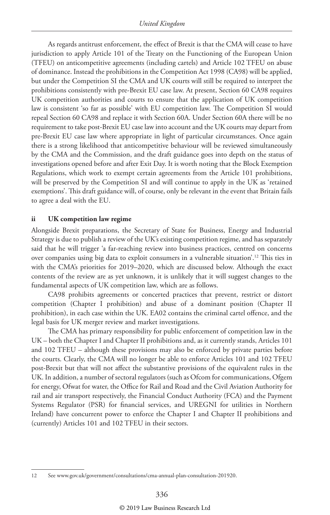As regards antitrust enforcement, the effect of Brexit is that the CMA will cease to have jurisdiction to apply Article 101 of the Treaty on the Functioning of the European Union (TFEU) on anticompetitive agreements (including cartels) and Article 102 TFEU on abuse of dominance. Instead the prohibitions in the Competition Act 1998 (CA98) will be applied, but under the Competition SI the CMA and UK courts will still be required to interpret the prohibitions consistently with pre-Brexit EU case law. At present, Section 60 CA98 requires UK competition authorities and courts to ensure that the application of UK competition law is consistent 'so far as possible' with EU competition law. The Competition SI would repeal Section 60 CA98 and replace it with Section 60A. Under Section 60A there will be no requirement to take post-Brexit EU case law into account and the UK courts may depart from pre-Brexit EU case law where appropriate in light of particular circumstances. Once again there is a strong likelihood that anticompetitive behaviour will be reviewed simultaneously by the CMA and the Commission, and the draft guidance goes into depth on the status of investigations opened before and after Exit Day. It is worth noting that the Block Exemption Regulations, which work to exempt certain agreements from the Article 101 prohibitions, will be preserved by the Competition SI and will continue to apply in the UK as 'retained exemptions'. This draft guidance will, of course, only be relevant in the event that Britain fails to agree a deal with the EU.

#### **ii UK competition law regime**

Alongside Brexit preparations, the Secretary of State for Business, Energy and Industrial Strategy is due to publish a review of the UK's existing competition regime, and has separately said that he will trigger 'a far-reaching review into business practices, centred on concerns over companies using big data to exploit consumers in a vulnerable situation'.<sup>12</sup> This ties in with the CMA's priorities for 2019–2020, which are discussed below. Although the exact contents of the review are as yet unknown, it is unlikely that it will suggest changes to the fundamental aspects of UK competition law, which are as follows.

CA98 prohibits agreements or concerted practices that prevent, restrict or distort competition (Chapter I prohibition) and abuse of a dominant position (Chapter II prohibition), in each case within the UK. EA02 contains the criminal cartel offence, and the legal basis for UK merger review and market investigations.

The CMA has primary responsibility for public enforcement of competition law in the UK – both the Chapter I and Chapter II prohibitions and, as it currently stands, Articles 101 and 102 TFEU – although these provisions may also be enforced by private parties before the courts. Clearly, the CMA will no longer be able to enforce Articles 101 and 102 TFEU post-Brexit but that will not affect the substantive provisions of the equivalent rules in the UK. In addition, a number of sectoral regulators (such as Ofcom for communications, Ofgem for energy, Ofwat for water, the Office for Rail and Road and the Civil Aviation Authority for rail and air transport respectively, the Financial Conduct Authority (FCA) and the Payment Systems Regulator (PSR) for financial services, and UREGNI for utilities in Northern Ireland) have concurrent power to enforce the Chapter I and Chapter II prohibitions and (currently) Articles 101 and 102 TFEU in their sectors.

<sup>12</sup> See www.gov.uk/government/consultations/cma-annual-plan-consultation-201920.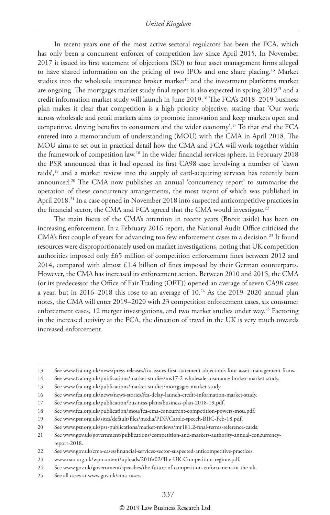In recent years one of the most active sectoral regulators has been the FCA, which has only been a concurrent enforcer of competition law since April 2015. In November 2017 it issued its first statement of objections (SO) to four asset management firms alleged to have shared information on the pricing of two IPOs and one share placing.13 Market studies into the wholesale insurance broker market<sup>14</sup> and the investment platforms market are ongoing. The mortgages market study final report is also expected in spring 201915 and a credit information market study will launch in June 2019.16 The FCA's 2018–2019 business plan makes it clear that competition is a high priority objective, stating that 'Our work across wholesale and retail markets aims to promote innovation and keep markets open and competitive, driving benefits to consumers and the wider economy'.17 To that end the FCA entered into a memorandum of understanding (MOU) with the CMA in April 2018. The MOU aims to set out in practical detail how the CMA and FCA will work together within the framework of competition law.18 In the wider financial services sphere, in February 2018 the PSR announced that it had opened its first CA98 case involving a number of 'dawn raids',19 and a market review into the supply of card-acquiring services has recently been announced.20 The CMA now publishes an annual 'concurrency report' to summarise the operation of these concurrency arrangements, the most recent of which was published in April 2018.<sup>21</sup> In a case opened in November 2018 into suspected anticompetitive practices in the financial sector, the CMA and FCA agreed that the CMA would investigate.<sup>22</sup>

The main focus of the CMA's attention in recent years (Brexit aside) has been on increasing enforcement. In a February 2016 report, the National Audit Office criticised the CMA's first couple of years for advancing too few enforcement cases to a decision.<sup>23</sup> It found resources were disproportionately used on market investigations, noting that UK competition authorities imposed only £65 million of competition enforcement fines between 2012 and 2014, compared with almost £1.4 billion of fines imposed by their German counterparts. However, the CMA has increased its enforcement action. Between 2010 and 2015, the CMA (or its predecessor the Office of Fair Trading (OFT)) opened an average of seven CA98 cases a year, but in 2016–2018 this rose to an average of 10.<sup>24</sup> As the 2019–2020 annual plan notes, the CMA will enter 2019–2020 with 23 competition enforcement cases, six consumer enforcement cases, 12 merger investigations, and two market studies under way.<sup>25</sup> Factoring in the increased activity at the FCA, the direction of travel in the UK is very much towards increased enforcement.

#### © 2019 Law Business Research Ltd

<sup>13</sup> See www.fca.org.uk/news/press-releases/fca-issues-first-statement-objections-four-asset-management-firms.

<sup>14</sup> See www.fca.org.uk/publications/market-studies/ms17-2-wholesale-insurance-broker-market-study.

<sup>15</sup> See www.fca.org.uk/publications/market-studies/mortgages-market-study.

<sup>16</sup> See www.fca.org.uk/news/news-stories/fca-delay-launch-credit-information-market-study.

<sup>17</sup> See www.fca.org.uk/publication/business-plans/business-plan-2018-19.pdf.

<sup>18</sup> See www.fca.org.uk/publication/mou/fca-cma-concurrent-competition-powers-mou.pdf.

<sup>19</sup> See www.psr.org.uk/sites/default/files/media/PDF/Carole-speech-BIIC-Feb-18.pdf.

<sup>20</sup> See www.psr.org.uk/psr-publications/market-reviews/mr181.2-final-terms-reference-cards.

<sup>21</sup> See www.gov.uk/government/publications/competition-and-markets-authority-annual-concurrencyreport-2018.

<sup>22</sup> See www.gov.uk/cma-cases/financial-services-sector-suspected-anticompetitive-practices.

<sup>23</sup> www.nao.org.uk/wp-content/uploads/2016/02/The-UK-Competition-regime.pdf.

<sup>24</sup> See www.gov.uk/government/speeches/the-future-of-competition-enforcement-in-the-uk.

<sup>25</sup> See all cases at www.gov.uk/cma-cases.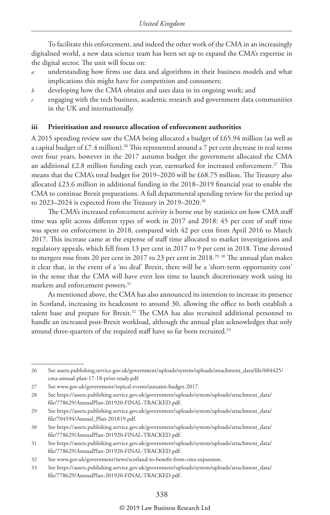To facilitate this enforcement, and indeed the other work of the CMA in an increasingly digitalised world, a new data science team has been set up to expand the CMA's expertise in the digital sector. The unit will focus on:

- *a* understanding how firms use data and algorithms in their business models and what implications this might have for competition and consumers;
- *b* developing how the CMA obtains and uses data in its ongoing work; and
- *c* engaging with the tech business, academic research and government data communities in the UK and internationally.

#### **iii Prioritisation and resource allocation of enforcement authorities**

A 2015 spending review saw the CMA being allocated a budget of £65.94 million (as well as a capital budget of  $£7.4$  million).<sup>26</sup> This represented around a 7 per cent decrease in real terms over four years, however in the 2017 autumn budget the government allocated the CMA an additional  $£2.8$  million funding each year, earmarked for increased enforcement.<sup>27</sup> This means that the CMA's total budget for 2019–2020 will be £68.75 million. The Treasury also allocated £23.6 million in additional funding in the 2018–2019 financial year to enable the CMA to continue Brexit preparations. A full departmental spending review for the period up to 2023–2024 is expected from the Treasury in 2019–2020.<sup>28</sup>

The CMA's increased enforcement activity is borne out by statistics on how CMA staff time was split across different types of work in 2017 and 2018: 45 per cent of staff time was spent on enforcement in 2018, compared with 42 per cent from April 2016 to March 2017. This increase came at the expense of staff time allocated to market investigations and regulatory appeals, which fell from 13 per cent in 2017 to 9 per cent in 2018. Time devoted to mergers rose from 20 per cent in 2017 to 23 per cent in 2018.<sup>29, 30</sup> The annual plan makes it clear that, in the event of a 'no deal' Brexit, there will be a 'short-term opportunity cost' in the sense that the CMA will have even less time to launch discretionary work using its markets and enforcement powers.<sup>31</sup>

As mentioned above, the CMA has also announced its intention to increase its presence in Scotland, increasing its headcount to around 30, allowing the office to both establish a talent base and prepare for Brexit.32 The CMA has also recruited additional personnel to handle an increased post-Brexit workload, although the annual plan acknowledges that only around three-quarters of the required staff have so far been recruited.<sup>33</sup>

<sup>26</sup> See assets.publishing.service.gov.uk/government/uploads/system/uploads/attachment\_data/file/604425/ cma-annual-plan-17-18-print-ready.pdf.

<sup>27</sup> See www.gov.uk/government/topical-events/autumn-budget-2017.

<sup>28</sup> See https://assets.publishing.service.gov.uk/government/uploads/system/uploads/attachment\_data/ file/778629/AnnualPlan-201920-FINAL-TRACKED.pdf.

<sup>29</sup> See https://assets.publishing.service.gov.uk/government/uploads/system/uploads/attachment\_data/ file/704594/Annual\_Plan-201819.pdf.

<sup>30</sup> See https://assets.publishing.service.gov.uk/government/uploads/system/uploads/attachment\_data/ file/778629/AnnualPlan-201920-FINAL-TRACKED.pdf.

<sup>31</sup> See https://assets.publishing.service.gov.uk/government/uploads/system/uploads/attachment\_data/ file/778629/AnnualPlan-201920-FINAL-TRACKED.pdf.

<sup>32</sup> See www.gov.uk/government/news/scotland-to-benefit-from-cma-expansion.

<sup>33</sup> See https://assets.publishing.service.gov.uk/government/uploads/system/uploads/attachment\_data/ file/778629/AnnualPlan-201920-FINAL-TRACKED.pdf.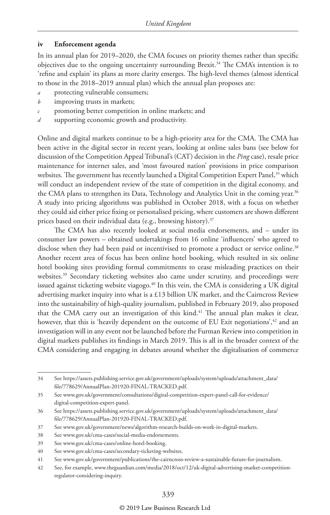#### **iv Enforcement agenda**

In its annual plan for 2019–2020, the CMA focuses on priority themes rather than specific objectives due to the ongoing uncertainty surrounding Brexit.<sup>34</sup> The CMA's intention is to 'refine and explain' its plans as more clarity emerges. The high-level themes (almost identical to those in the 2018–2019 annual plan) which the annual plan proposes are:

- *a* protecting vulnerable consumers;
- *b* improving trusts in markets;
- *c* promoting better competition in online markets; and
- *d* supporting economic growth and productivity.

Online and digital markets continue to be a high-priority area for the CMA. The CMA has been active in the digital sector in recent years, looking at online sales bans (see below for discussion of the Competition Appeal Tribunal's (CAT) decision in the *Ping* case), resale price maintenance for internet sales, and 'most favoured nation' provisions in price comparison websites. The government has recently launched a Digital Competition Expert Panel,<sup>35</sup> which will conduct an independent review of the state of competition in the digital economy, and the CMA plans to strengthen its Data, Technology and Analytics Unit in the coming year.<sup>36</sup> A study into pricing algorithms was published in October 2018, with a focus on whether they could aid either price fixing or personalised pricing, where customers are shown different prices based on their individual data (e.g., browsing history).<sup>37</sup>

The CMA has also recently looked at social media endorsements, and – under its consumer law powers – obtained undertakings from 16 online 'influencers' who agreed to disclose when they had been paid or incentivised to promote a product or service online.<sup>38</sup> Another recent area of focus has been online hotel booking, which resulted in six online hotel booking sites providing formal commitments to cease misleading practices on their websites.<sup>39</sup> Secondary ticketing websites also came under scrutiny, and proceedings were issued against ticketing website viagogo.<sup>40</sup> In this vein, the CMA is considering a UK digital advertising market inquiry into what is a £13 billion UK market, and the Cairncross Review into the sustainability of high-quality journalism, published in February 2019, also proposed that the CMA carry out an investigation of this kind.<sup>41</sup> The annual plan makes it clear, however, that this is 'heavily dependent on the outcome of EU Exit negotiations',<sup>42</sup> and an investigation will in any event not be launched before the Furman Review into competition in digital markets publishes its findings in March 2019. This is all in the broader context of the CMA considering and engaging in debates around whether the digitalisation of commerce

#### © 2019 Law Business Research Ltd

<sup>34</sup> See https://assets.publishing.service.gov.uk/government/uploads/system/uploads/attachment\_data/ file/778629/AnnualPlan-201920-FINAL-TRACKED.pdf.

<sup>35</sup> See www.gov.uk/government/consultations/digital-competition-expert-panel-call-for-evidence/ digital-competition-expert-panel.

<sup>36</sup> See https://assets.publishing.service.gov.uk/government/uploads/system/uploads/attachment\_data/ file/778629/AnnualPlan-201920-FINAL-TRACKED.pdf.

<sup>37</sup> See www.gov.uk/government/news/algorithm-research-builds-on-work-in-digital-markets.

<sup>38</sup> See www.gov.uk/cma-cases/social-media-endorsements.

<sup>39</sup> See www.gov.uk/cma-cases/online-hotel-booking.

<sup>40</sup> See www.gov.uk/cma-cases/secondary-ticketing-websites.

<sup>41</sup> See www.gov.uk/government/publications/the-cairncross-review-a-sustainable-future-for-journalism.

<sup>42</sup> See, for example, www.theguardian.com/media/2018/oct/12/uk-digital-advertising-market-competitionregulator-considering-inquiry.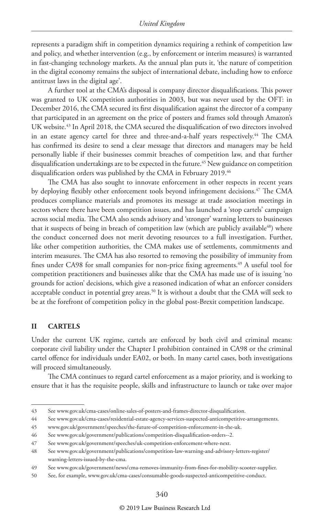represents a paradigm shift in competition dynamics requiring a rethink of competition law and policy, and whether intervention (e.g., by enforcement or interim measures) is warranted in fast-changing technology markets. As the annual plan puts it, 'the nature of competition in the digital economy remains the subject of international debate, including how to enforce antitrust laws in the digital age'.

A further tool at the CMA's disposal is company director disqualifications. This power was granted to UK competition authorities in 2003, but was never used by the OFT: in December 2016, the CMA secured its first disqualification against the director of a company that participated in an agreement on the price of posters and frames sold through Amazon's UK website.<sup>43</sup> In April 2018, the CMA secured the disqualification of two directors involved in an estate agency cartel for three and three-and-a-half years respectively.<sup>44</sup> The CMA has confirmed its desire to send a clear message that directors and managers may be held personally liable if their businesses commit breaches of competition law, and that further disqualification undertakings are to be expected in the future.<sup>45</sup> New guidance on competition disqualification orders was published by the CMA in February 2019.<sup>46</sup>

The CMA has also sought to innovate enforcement in other respects in recent years by deploying flexibly other enforcement tools beyond infringement decisions.47 The CMA produces compliance materials and promotes its message at trade association meetings in sectors where there have been competition issues, and has launched a 'stop cartels' campaign across social media. The CMA also sends advisory and 'stronger' warning letters to businesses that it suspects of being in breach of competition law (which are publicly available<sup>48</sup>) where the conduct concerned does not merit devoting resources to a full investigation. Further, like other competition authorities, the CMA makes use of settlements, commitments and interim measures. The CMA has also resorted to removing the possibility of immunity from fines under CA98 for small companies for non-price fixing agreements.<sup>49</sup> A useful tool for competition practitioners and businesses alike that the CMA has made use of is issuing 'no grounds for action' decisions, which give a reasoned indication of what an enforcer considers acceptable conduct in potential grey areas.<sup>50</sup> It is without a doubt that the CMA will seek to be at the forefront of competition policy in the global post-Brexit competition landscape.

#### **II CARTELS**

Under the current UK regime, cartels are enforced by both civil and criminal means: corporate civil liability under the Chapter I prohibition contained in CA98 or the criminal cartel offence for individuals under EA02, or both. In many cartel cases, both investigations will proceed simultaneously.

The CMA continues to regard cartel enforcement as a major priority, and is working to ensure that it has the requisite people, skills and infrastructure to launch or take over major

<sup>43</sup> See www.gov.uk/cma-cases/online-sales-of-posters-and-frames-director-disqualification.

<sup>44</sup> See www.gov.uk/cma-cases/residential-estate-agency-services-suspected-anticompetitive-arrangements.

<sup>45</sup> www.gov.uk/government/speeches/the-future-of-competition-enforcement-in-the-uk.

<sup>46</sup> See www.gov.uk/government/publications/competition-disqualification-orders--2.

<sup>47</sup> See www.gov.uk/government/speeches/uk-competition-enforcement-where-next.

<sup>48</sup> See www.gov.uk/government/publications/competition-law-warning-and-advisory-letters-register/ warning-letters-issued-by-the-cma.

<sup>49</sup> See www.gov.uk/government/news/cma-removes-immunity-from-fines-for-mobility-scooter-supplier.

<sup>50</sup> See, for example, www.gov.uk/cma-cases/consumable-goods-suspected-anticompetitive-conduct.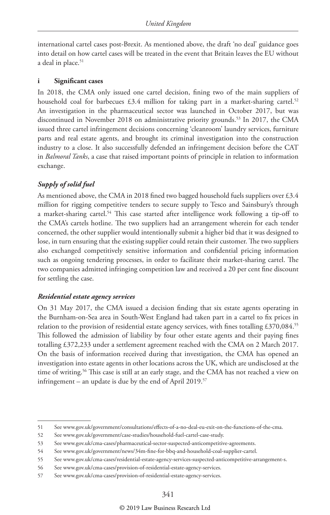international cartel cases post-Brexit. As mentioned above, the draft 'no deal' guidance goes into detail on how cartel cases will be treated in the event that Britain leaves the EU without a deal in place.<sup>51</sup>

#### **i Significant cases**

In 2018, the CMA only issued one cartel decision, fining two of the main suppliers of household coal for barbecues  $£3.4$  million for taking part in a market-sharing cartel.<sup>52</sup> An investigation in the pharmaceutical sector was launched in October 2017, but was discontinued in November 2018 on administrative priority grounds.53 In 2017, the CMA issued three cartel infringement decisions concerning 'cleanroom' laundry services, furniture parts and real estate agents, and brought its criminal investigation into the construction industry to a close. It also successfully defended an infringement decision before the CAT in *Balmoral Tanks*, a case that raised important points of principle in relation to information exchange.

#### *Supply of solid fuel*

As mentioned above, the CMA in 2018 fined two bagged household fuels suppliers over £3.4 million for rigging competitive tenders to secure supply to Tesco and Sainsbury's through a market-sharing cartel.54 This case started after intelligence work following a tip-off to the CMA's cartels hotline. The two suppliers had an arrangement wherein for each tender concerned, the other supplier would intentionally submit a higher bid that it was designed to lose, in turn ensuring that the existing supplier could retain their customer. The two suppliers also exchanged competitively sensitive information and confidential pricing information such as ongoing tendering processes, in order to facilitate their market-sharing cartel. The two companies admitted infringing competition law and received a 20 per cent fine discount for settling the case.

#### *Residential estate agency services*

On 31 May 2017, the CMA issued a decision finding that six estate agents operating in the Burnham-on-Sea area in South-West England had taken part in a cartel to fix prices in relation to the provision of residential estate agency services, with fines totalling £370,084.<sup>55</sup> This followed the admission of liability by four other estate agents and their paying fines totalling £372,233 under a settlement agreement reached with the CMA on 2 March 2017. On the basis of information received during that investigation, the CMA has opened an investigation into estate agents in other locations across the UK, which are undisclosed at the time of writing.<sup>56</sup> This case is still at an early stage, and the CMA has not reached a view on infringement – an update is due by the end of April 2019.<sup>57</sup>

<sup>51</sup> See www.gov.uk/government/consultations/effects-of-a-no-deal-eu-exit-on-the-functions-of-the-cma.

<sup>52</sup> See www.gov.uk/government/case-studies/household-fuel-cartel-case-study.

<sup>53</sup> See www.gov.uk/cma-cases/pharmaceutical-sector-suspected-anticompetitive-agreements.

<sup>54</sup> See www.gov.uk/government/news/34m-fine-for-bbq-and-household-coal-supplier-cartel.

<sup>55</sup> See www.gov.uk/cma-cases/residential-estate-agency-services-suspected-anticompetitive-arrangement-s.

<sup>56</sup> See www.gov.uk/cma-cases/provision-of-residential-estate-agency-services.

<sup>57</sup> See www.gov.uk/cma-cases/provision-of-residential-estate-agency-services.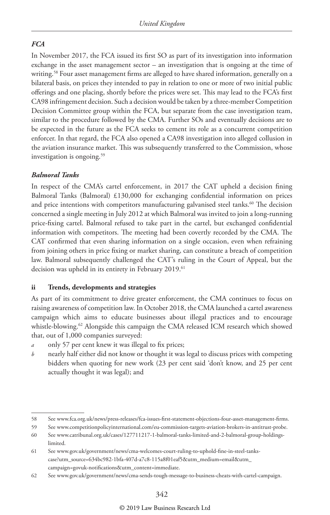#### *FCA*

In November 2017, the FCA issued its first SO as part of its investigation into information exchange in the asset management sector – an investigation that is ongoing at the time of writing.<sup>58</sup> Four asset management firms are alleged to have shared information, generally on a bilateral basis, on prices they intended to pay in relation to one or more of two initial public offerings and one placing, shortly before the prices were set. This may lead to the FCA's first CA98 infringement decision. Such a decision would be taken by a three-member Competition Decision Committee group within the FCA, but separate from the case investigation team, similar to the procedure followed by the CMA. Further SOs and eventually decisions are to be expected in the future as the FCA seeks to cement its role as a concurrent competition enforcer. In that regard, the FCA also opened a CA98 investigation into alleged collusion in the aviation insurance market. This was subsequently transferred to the Commission, whose investigation is ongoing.<sup>59</sup>

#### *Balmoral Tanks*

In respect of the CMA's cartel enforcement, in 2017 the CAT upheld a decision fining Balmoral Tanks (Balmoral) £130,000 for exchanging confidential information on prices and price intentions with competitors manufacturing galvanised steel tanks.<sup>60</sup> The decision concerned a single meeting in July 2012 at which Balmoral was invited to join a long-running price-fixing cartel. Balmoral refused to take part in the cartel, but exchanged confidential information with competitors. The meeting had been covertly recorded by the CMA. The CAT confirmed that even sharing information on a single occasion, even when refraining from joining others in price fixing or market sharing, can constitute a breach of competition law. Balmoral subsequently challenged the CAT's ruling in the Court of Appeal, but the decision was upheld in its entirety in February 2019.<sup>61</sup>

#### **ii Trends, developments and strategies**

As part of its commitment to drive greater enforcement, the CMA continues to focus on raising awareness of competition law. In October 2018, the CMA launched a cartel awareness campaign which aims to educate businesses about illegal practices and to encourage whistle-blowing.<sup>62</sup> Alongside this campaign the CMA released ICM research which showed that, out of 1,000 companies surveyed:

- *a* only 57 per cent knew it was illegal to fix prices;
- *b* nearly half either did not know or thought it was legal to discuss prices with competing bidders when quoting for new work (23 per cent said 'don't know, and 25 per cent actually thought it was legal); and

<sup>58</sup> See www.fca.org.uk/news/press-releases/fca-issues-first-statement-objections-four-asset-management-firms.

<sup>59</sup> See www.competitionpolicyinternational.com/eu-commission-targets-aviation-brokers-in-antitrust-probe.

<sup>60</sup> See www.catribunal.org.uk/cases/127711217-1-balmoral-tanks-limited-and-2-balmoral-group-holdingslimited.

<sup>61</sup> See www.gov.uk/government/news/cma-welcomes-court-ruling-to-uphold-fine-in-steel-tankscase?utm\_source=634bc982-1bfa-407d-a7c8-115a8f01eaf5&utm\_medium=email&utm\_ campaign=govuk-notifications&utm\_content=immediate.

<sup>62</sup> See www.gov.uk/government/news/cma-sends-tough-message-to-business-cheats-with-cartel-campaign.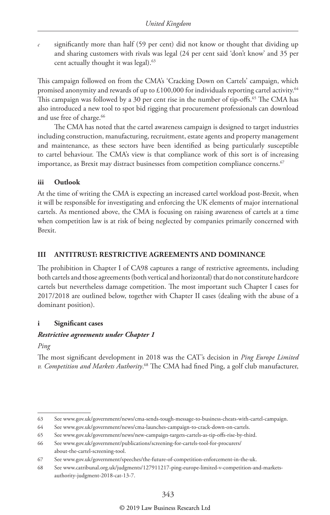*c* significantly more than half (59 per cent) did not know or thought that dividing up and sharing customers with rivals was legal (24 per cent said 'don't know' and 35 per cent actually thought it was legal).<sup>63</sup>

This campaign followed on from the CMA's 'Cracking Down on Cartels' campaign, which promised anonymity and rewards of up to £100,000 for individuals reporting cartel activity.<sup>64</sup> This campaign was followed by a 30 per cent rise in the number of tip-offs.<sup>65</sup> The CMA has also introduced a new tool to spot bid rigging that procurement professionals can download and use free of charge.<sup>66</sup>

The CMA has noted that the cartel awareness campaign is designed to target industries including construction, manufacturing, recruitment, estate agents and property management and maintenance, as these sectors have been identified as being particularly susceptible to cartel behaviour. The CMA's view is that compliance work of this sort is of increasing importance, as Brexit may distract businesses from competition compliance concerns.<sup>67</sup>

#### **iii Outlook**

At the time of writing the CMA is expecting an increased cartel workload post-Brexit, when it will be responsible for investigating and enforcing the UK elements of major international cartels. As mentioned above, the CMA is focusing on raising awareness of cartels at a time when competition law is at risk of being neglected by companies primarily concerned with Brexit.

#### **III ANTITRUST: RESTRICTIVE AGREEMENTS AND DOMINANCE**

The prohibition in Chapter I of CA98 captures a range of restrictive agreements, including both cartels and those agreements (both vertical and horizontal) that do not constitute hardcore cartels but nevertheless damage competition. The most important such Chapter I cases for 2017/2018 are outlined below, together with Chapter II cases (dealing with the abuse of a dominant position).

#### **i Significant cases**

#### *Restrictive agreements under Chapter 1*

*Ping*

The most significant development in 2018 was the CAT's decision in *Ping Europe Limited v. Competition and Markets Authority*. 68 The CMA had fined Ping, a golf club manufacturer,

<sup>63</sup> See www.gov.uk/government/news/cma-sends-tough-message-to-business-cheats-with-cartel-campaign.

<sup>64</sup> See www.gov.uk/government/news/cma-launches-campaign-to-crack-down-on-cartels.

<sup>65</sup> See www.gov.uk/government/news/new-campaign-targets-cartels-as-tip-offs-rise-by-third.

<sup>66</sup> See www.gov.uk/government/publications/screening-for-cartels-tool-for-procurers/ about-the-cartel-screening-tool.

<sup>67</sup> See www.gov.uk/government/speeches/the-future-of-competition-enforcement-in-the-uk.

<sup>68</sup> See www.catribunal.org.uk/judgments/127911217-ping-europe-limited-v-competition-and-marketsauthority-judgment-2018-cat-13-7.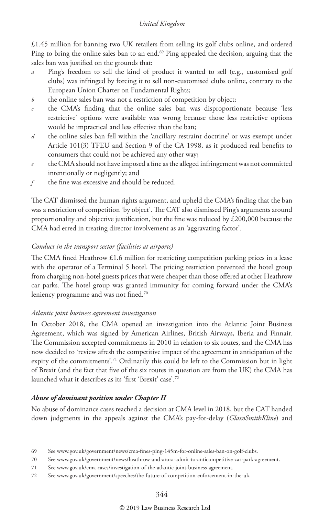£1.45 million for banning two UK retailers from selling its golf clubs online, and ordered Ping to bring the online sales ban to an end.<sup>69</sup> Ping appealed the decision, arguing that the sales ban was justified on the grounds that:

- *a* Ping's freedom to sell the kind of product it wanted to sell (e.g., customised golf clubs) was infringed by forcing it to sell non-customised clubs online, contrary to the European Union Charter on Fundamental Rights;
- *b* the online sales ban was not a restriction of competition by object;
- *c* the CMA's finding that the online sales ban was disproportionate because 'less restrictive' options were available was wrong because those less restrictive options would be impractical and less effective than the ban;
- *d* the online sales ban fell within the 'ancillary restraint doctrine' or was exempt under Article 101(3) TFEU and Section 9 of the CA 1998, as it produced real benefits to consumers that could not be achieved any other way;
- *e* the CMA should not have imposed a fine as the alleged infringement was not committed intentionally or negligently; and
- *f* the fine was excessive and should be reduced.

The CAT dismissed the human rights argument, and upheld the CMA's finding that the ban was a restriction of competition 'by object'. The CAT also dismissed Ping's arguments around proportionality and objective justification, but the fine was reduced by £200,000 because the CMA had erred in treating director involvement as an 'aggravating factor'.

#### *Conduct in the transport sector (facilities at airports)*

The CMA fined Heathrow £1.6 million for restricting competition parking prices in a lease with the operator of a Terminal 5 hotel. The pricing restriction prevented the hotel group from charging non-hotel guests prices that were cheaper than those offered at other Heathrow car parks. The hotel group was granted immunity for coming forward under the CMA's leniency programme and was not fined.<sup>70</sup>

#### *Atlantic joint business agreement investigation*

In October 2018, the CMA opened an investigation into the Atlantic Joint Business Agreement, which was signed by American Airlines, British Airways, Iberia and Finnair. The Commission accepted commitments in 2010 in relation to six routes, and the CMA has now decided to 'review afresh the competitive impact of the agreement in anticipation of the expiry of the commitments'.71 Ordinarily this could be left to the Commission but in light of Brexit (and the fact that five of the six routes in question are from the UK) the CMA has launched what it describes as its 'first 'Brexit' case'.72

#### *Abuse of dominant position under Chapter II*

No abuse of dominance cases reached a decision at CMA level in 2018, but the CAT handed down judgments in the appeals against the CMA's pay-for-delay (*GlaxoSmithKline*) and

<sup>69</sup> See www.gov.uk/government/news/cma-fines-ping-145m-for-online-sales-ban-on-golf-clubs.

<sup>70</sup> See www.gov.uk/government/news/heathrow-and-arora-admit-to-anticompetitive-car-park-agreement.

<sup>71</sup> See www.gov.uk/cma-cases/investigation-of-the-atlantic-joint-business-agreement.

<sup>72</sup> See www.gov.uk/government/speeches/the-future-of-competition-enforcement-in-the-uk.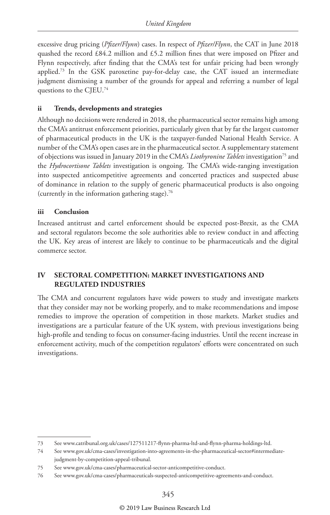excessive drug pricing (*Pfizer/Flynn*) cases. In respect of *Pfizer/Flynn*, the CAT in June 2018 quashed the record £84.2 million and £5.2 million fines that were imposed on Pfizer and Flynn respectively, after finding that the CMA's test for unfair pricing had been wrongly applied.73 In the GSK paroxetine pay-for-delay case, the CAT issued an intermediate judgment dismissing a number of the grounds for appeal and referring a number of legal questions to the CJEU.74

#### **ii Trends, developments and strategies**

Although no decisions were rendered in 2018, the pharmaceutical sector remains high among the CMA's antitrust enforcement priorities, particularly given that by far the largest customer of pharmaceutical products in the UK is the taxpayer-funded National Health Service. A number of the CMA's open cases are in the pharmaceutical sector. A supplementary statement of objections was issued in January 2019 in the CMA's *Liothyronine Tablets* investigation75 and the *Hydrocortisone Tablets* investigation is ongoing. The CMA's wide-ranging investigation into suspected anticompetitive agreements and concerted practices and suspected abuse of dominance in relation to the supply of generic pharmaceutical products is also ongoing (currently in the information gathering stage).76

#### **iii Conclusion**

Increased antitrust and cartel enforcement should be expected post-Brexit, as the CMA and sectoral regulators become the sole authorities able to review conduct in and affecting the UK. Key areas of interest are likely to continue to be pharmaceuticals and the digital commerce sector.

#### **IV SECTORAL COMPETITION: MARKET INVESTIGATIONS AND REGULATED INDUSTRIES**

The CMA and concurrent regulators have wide powers to study and investigate markets that they consider may not be working properly, and to make recommendations and impose remedies to improve the operation of competition in those markets. Market studies and investigations are a particular feature of the UK system, with previous investigations being high-profile and tending to focus on consumer-facing industries. Until the recent increase in enforcement activity, much of the competition regulators' efforts were concentrated on such investigations.

<sup>73</sup> See www.catribunal.org.uk/cases/127511217-flynn-pharma-ltd-and-flynn-pharma-holdings-ltd.

<sup>74</sup> See www.gov.uk/cma-cases/investigation-into-agreements-in-the-pharmaceutical-sector#intermediatejudgment-by-competition-appeal-tribunal.

<sup>75</sup> See www.gov.uk/cma-cases/pharmaceutical-sector-anticompetitive-conduct.

<sup>76</sup> See www.gov.uk/cma-cases/pharmaceuticals-suspected-anticompetitive-agreements-and-conduct.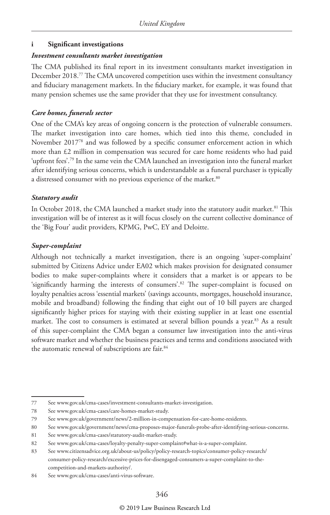#### **i Significant investigations**

#### *Investment consultants market investigation*

The CMA published its final report in its investment consultants market investigation in December 2018.77 The CMA uncovered competition uses within the investment consultancy and fiduciary management markets. In the fiduciary market, for example, it was found that many pension schemes use the same provider that they use for investment consultancy.

#### *Care homes, funerals sector*

One of the CMA's key areas of ongoing concern is the protection of vulnerable consumers. The market investigation into care homes, which tied into this theme, concluded in November 201778 and was followed by a specific consumer enforcement action in which more than £2 million in compensation was secured for care home residents who had paid 'upfront fees'.79 In the same vein the CMA launched an investigation into the funeral market after identifying serious concerns, which is understandable as a funeral purchaser is typically a distressed consumer with no previous experience of the market.<sup>80</sup>

#### *Statutory audit*

In October 2018, the CMA launched a market study into the statutory audit market.<sup>81</sup> This investigation will be of interest as it will focus closely on the current collective dominance of the 'Big Four' audit providers, KPMG, PwC, EY and Deloitte.

#### *Super-complaint*

Although not technically a market investigation, there is an ongoing 'super-complaint' submitted by Citizens Advice under EA02 which makes provision for designated consumer bodies to make super-complaints where it considers that a market is or appears to be 'significantly harming the interests of consumers'.82 The super-complaint is focused on loyalty penalties across 'essential markets' (savings accounts, mortgages, household insurance, mobile and broadband) following the finding that eight out of 10 bill payers are charged significantly higher prices for staying with their existing supplier in at least one essential market. The cost to consumers is estimated at several billion pounds a year.<sup>83</sup> As a result of this super-complaint the CMA began a consumer law investigation into the anti-virus software market and whether the business practices and terms and conditions associated with the automatic renewal of subscriptions are fair.<sup>84</sup>

<sup>77</sup> See www.gov.uk/cma-cases/investment-consultants-market-investigation.

<sup>78</sup> See www.gov.uk/cma-cases/care-homes-market-study.

<sup>79</sup> See www.gov.uk/government/news/2-million-in-compensation-for-care-home-residents.

<sup>80</sup> See www.gov.uk/government/news/cma-proposes-major-funerals-probe-after-identifying-serious-concerns.

<sup>81</sup> See www.gov.uk/cma-cases/statutory-audit-market-study.

<sup>82</sup> See www.gov.uk/cma-cases/loyalty-penalty-super-complaint#what-is-a-super-complaint.

<sup>83</sup> See www.citizensadvice.org.uk/about-us/policy/policy-research-topics/consumer-policy-research/ consumer-policy-research/excessive-prices-for-disengaged-consumers-a-super-complaint-to-thecompetition-and-markets-authority/.

<sup>84</sup> See www.gov.uk/cma-cases/anti-virus-software.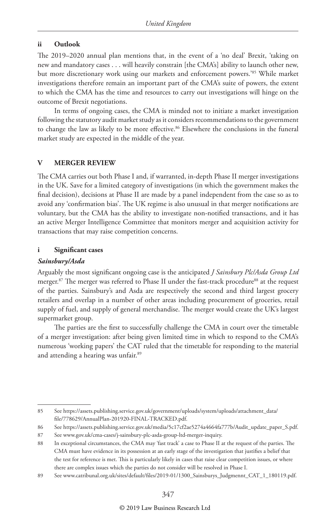#### **ii Outlook**

The 2019–2020 annual plan mentions that, in the event of a 'no deal' Brexit, 'taking on new and mandatory cases . . . will heavily constrain [the CMA's] ability to launch other new, but more discretionary work using our markets and enforcement powers.'85 While market investigations therefore remain an important part of the CMA's suite of powers, the extent to which the CMA has the time and resources to carry out investigations will hinge on the outcome of Brexit negotiations.

In terms of ongoing cases, the CMA is minded not to initiate a market investigation following the statutory audit market study as it considers recommendations to the government to change the law as likely to be more effective.<sup>86</sup> Elsewhere the conclusions in the funeral market study are expected in the middle of the year.

#### **V MERGER REVIEW**

The CMA carries out both Phase I and, if warranted, in-depth Phase II merger investigations in the UK. Save for a limited category of investigations (in which the government makes the final decision), decisions at Phase II are made by a panel independent from the case so as to avoid any 'confirmation bias'. The UK regime is also unusual in that merger notifications are voluntary, but the CMA has the ability to investigate non-notified transactions, and it has an active Merger Intelligence Committee that monitors merger and acquisition activity for transactions that may raise competition concerns.

#### **i Significant cases**

#### *Sainsbury/Asda*

Arguably the most significant ongoing case is the anticipated *J Sainsbury Plc/Asda Group Ltd*  merger.<sup>87</sup> The merger was referred to Phase II under the fast-track procedure<sup>88</sup> at the request of the parties. Sainsbury's and Asda are respectively the second and third largest grocery retailers and overlap in a number of other areas including procurement of groceries, retail supply of fuel, and supply of general merchandise. The merger would create the UK's largest supermarket group.

The parties are the first to successfully challenge the CMA in court over the timetable of a merger investigation: after being given limited time in which to respond to the CMA's numerous 'working papers' the CAT ruled that the timetable for responding to the material and attending a hearing was unfair.89

<sup>85</sup> See https://assets.publishing.service.gov.uk/government/uploads/system/uploads/attachment\_data/ file/778629/AnnualPlan-201920-FINAL-TRACKED.pdf.

<sup>86</sup> See https://assets.publishing.service.gov.uk/media/5c17cf2ae5274a4664fa777b/Audit\_update\_paper\_S.pdf.

<sup>87</sup> See www.gov.uk/cma-cases/j-sainsbury-plc-asda-group-ltd-merger-inquiry.

<sup>88</sup> In exceptional circumstances, the CMA may 'fast track' a case to Phase II at the request of the parties. The CMA must have evidence in its possession at an early stage of the investigation that justifies a belief that the test for reference is met. This is particularly likely in cases that raise clear competition issues, or where there are complex issues which the parties do not consider will be resolved in Phase I.

<sup>89</sup> See www.catribunal.org.uk/sites/default/files/2019-01/1300\_Sainsburys\_Judgmennt\_CAT\_1\_180119.pdf.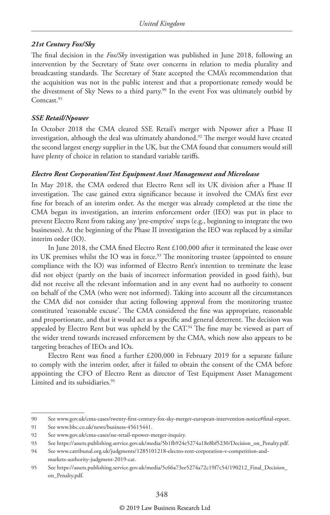#### *21st Century Fox/Sky*

The final decision in the *Fox/Sky* investigation was published in June 2018, following an intervention by the Secretary of State over concerns in relation to media plurality and broadcasting standards. The Secretary of State accepted the CMA's recommendation that the acquisition was not in the public interest and that a proportionate remedy would be the divestment of Sky News to a third party.<sup>90</sup> In the event Fox was ultimately outbid by Comcast.<sup>91</sup>

#### *SSE Retail/Npower*

In October 2018 the CMA cleared SSE Retail's merger with Npower after a Phase II investigation, although the deal was ultimately abandoned.<sup>92</sup> The merger would have created the second largest energy supplier in the UK, but the CMA found that consumers would still have plenty of choice in relation to standard variable tariffs.

#### *Electro Rent Corporation/Test Equipment Asset Management and Microlease*

In May 2018, the CMA ordered that Electro Rent sell its UK division after a Phase II investigation. The case gained extra significance because it involved the CMA's first ever fine for breach of an interim order. As the merger was already completed at the time the CMA began its investigation, an interim enforcement order (IEO) was put in place to prevent Electro Rent from taking any 'pre-emptive' steps (e.g., beginning to integrate the two businesses). At the beginning of the Phase II investigation the IEO was replaced by a similar interim order (IO).

In June 2018, the CMA fined Electro Rent £100,000 after it terminated the lease over its UK premises whilst the IO was in force.<sup>93</sup> The monitoring trustee (appointed to ensure compliance with the IO) was informed of Electro Rent's intention to terminate the lease did not object (partly on the basis of incorrect information provided in good faith), but did not receive all the relevant information and in any event had no authority to consent on behalf of the CMA (who were not informed). Taking into account all the circumstances the CMA did not consider that acting following approval from the monitoring trustee constituted 'reasonable excuse'. The CMA considered the fine was appropriate, reasonable and proportionate, and that it would act as a specific and general deterrent. The decision was appealed by Electro Rent but was upheld by the CAT.<sup>94</sup> The fine may be viewed as part of the wider trend towards increased enforcement by the CMA, which now also appears to be targeting breaches of IEOs and IOs.

Electro Rent was fined a further £200,000 in February 2019 for a separate failure to comply with the interim order, after it failed to obtain the consent of the CMA before appointing the CFO of Electro Rent as director of Test Equipment Asset Management Limited and its subsidiaries.<sup>95</sup>

<sup>90</sup> See www.gov.uk/cma-cases/twenty-first-century-fox-sky-merger-european-intervention-notice#final-report.

<sup>91</sup> See www.bbc.co.uk/news/business-45615441.

<sup>92</sup> See www.gov.uk/cma-cases/sse-retail-npower-merger-inquiry.

<sup>93</sup> See https://assets.publishing.service.gov.uk/media/5b1fb924e5274a18e8bf5230/Decision\_on\_Penalty.pdf.

<sup>94</sup> See www.catribunal.org.uk/judgments/1285101218-electro-rent-corporation-v-competition-andmarkets-authority-judgment-2019-cat.

<sup>95</sup> See https://assets.publishing.service.gov.uk/media/5c66a73ee5274a72c19f7c54/190212\_Final\_Decision\_ on\_Penalty.pdf.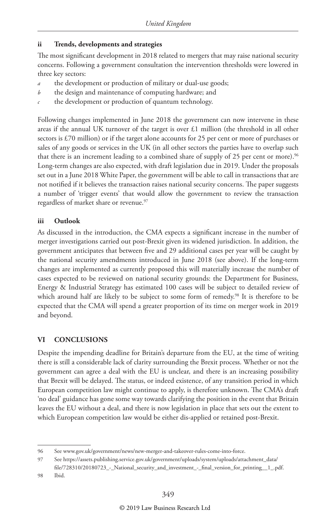#### **ii Trends, developments and strategies**

The most significant development in 2018 related to mergers that may raise national security concerns. Following a government consultation the intervention thresholds were lowered in three key sectors:

- the development or production of military or dual-use goods;
- *b* the design and maintenance of computing hardware; and
- *c* the development or production of quantum technology.

Following changes implemented in June 2018 the government can now intervene in these areas if the annual UK turnover of the target is over £1 million (the threshold in all other sectors is £70 million) or if the target alone accounts for 25 per cent or more of purchases or sales of any goods or services in the UK (in all other sectors the parties have to overlap such that there is an increment leading to a combined share of supply of 25 per cent or more).<sup>96</sup> Long-term changes are also expected, with draft legislation due in 2019. Under the proposals set out in a June 2018 White Paper, the government will be able to call in transactions that are not notified if it believes the transaction raises national security concerns. The paper suggests a number of 'trigger events' that would allow the government to review the transaction regardless of market share or revenue.<sup>97</sup>

#### **iii Outlook**

As discussed in the introduction, the CMA expects a significant increase in the number of merger investigations carried out post-Brexit given its widened jurisdiction. In addition, the government anticipates that between five and 29 additional cases per year will be caught by the national security amendments introduced in June 2018 (see above). If the long-term changes are implemented as currently proposed this will materially increase the number of cases expected to be reviewed on national security grounds: the Department for Business, Energy & Industrial Strategy has estimated 100 cases will be subject to detailed review of which around half are likely to be subject to some form of remedy.<sup>98</sup> It is therefore to be expected that the CMA will spend a greater proportion of its time on merger work in 2019 and beyond.

#### **VI CONCLUSIONS**

Despite the impending deadline for Britain's departure from the EU, at the time of writing there is still a considerable lack of clarity surrounding the Brexit process. Whether or not the government can agree a deal with the EU is unclear, and there is an increasing possibility that Brexit will be delayed. The status, or indeed existence, of any transition period in which European competition law might continue to apply, is therefore unknown. The CMA's draft 'no deal' guidance has gone some way towards clarifying the position in the event that Britain leaves the EU without a deal, and there is now legislation in place that sets out the extent to which European competition law would be either dis-applied or retained post-Brexit.

<sup>96</sup> See www.gov.uk/government/news/new-merger-and-takeover-rules-come-into-force.

<sup>97</sup> See https://assets.publishing.service.gov.uk/government/uploads/system/uploads/attachment\_data/ file/728310/20180723\_-\_National\_security\_and\_investment\_-\_final\_version\_for\_printing\_\_1\_.pdf.

<sup>98</sup> Ibid.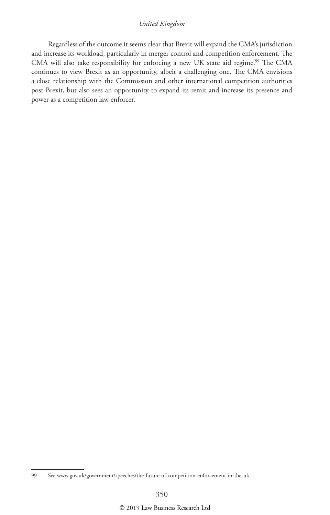Regardless of the outcome it seems clear that Brexit will expand the CMA's jurisdiction and increase its workload, particularly in merger control and competition enforcement. The CMA will also take responsibility for enforcing a new UK state aid regime.<sup>99</sup> The CMA continues to view Brexit as an opportunity, albeit a challenging one. The CMA envisions a close relationship with the Commission and other international competition authorities post-Brexit, but also sees an opportunity to expand its remit and increase its presence and power as a competition law enforcer.

<sup>99</sup> See www.gov.uk/government/speeches/the-future-of-competition-enforcement-in-the-uk.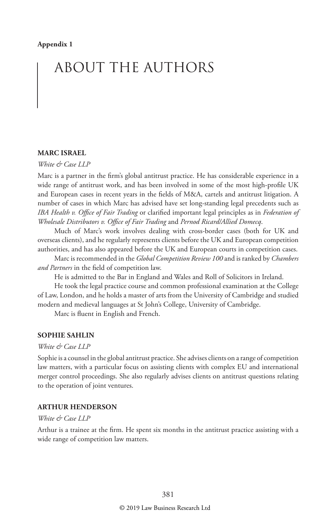## ABOUT THE AUTHORS

#### **MARC ISRAEL**

#### *White & Case LLP*

Marc is a partner in the firm's global antitrust practice. He has considerable experience in a wide range of antitrust work, and has been involved in some of the most high-profile UK and European cases in recent years in the fields of M&A, cartels and antitrust litigation. A number of cases in which Marc has advised have set long-standing legal precedents such as *IBA Health v. Office of Fair Trading* or clarified important legal principles as in *Federation of Wholesale Distributors v. Office of Fair Trading* and *Pernod Ricard/Allied Domecq*.

Much of Marc's work involves dealing with cross-border cases (both for UK and overseas clients), and he regularly represents clients before the UK and European competition authorities, and has also appeared before the UK and European courts in competition cases.

Marc is recommended in the *Global Competition Review 100* and is ranked by *Chambers and Partners* in the field of competition law.

He is admitted to the Bar in England and Wales and Roll of Solicitors in Ireland.

He took the legal practice course and common professional examination at the College of Law, London, and he holds a master of arts from the University of Cambridge and studied modern and medieval languages at St John's College, University of Cambridge.

Marc is fluent in English and French.

#### **SOPHIE SAHLIN**

#### *White & Case LLP*

Sophie is a counsel in the global antitrust practice. She advises clients on a range of competition law matters, with a particular focus on assisting clients with complex EU and international merger control proceedings. She also regularly advises clients on antitrust questions relating to the operation of joint ventures.

#### **ARTHUR HENDERSON**

#### *White & Case LLP*

Arthur is a trainee at the firm. He spent six months in the antitrust practice assisting with a wide range of competition law matters.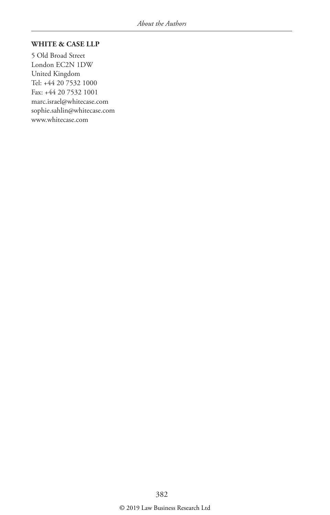#### **WHITE & CASE LLP**

5 Old Broad Street London EC2N 1DW United Kingdom Tel: +44 20 7532 1000 Fax: +44 20 7532 1001 marc.israel@whitecase.com sophie.sahlin@whitecase.com www.whitecase.com